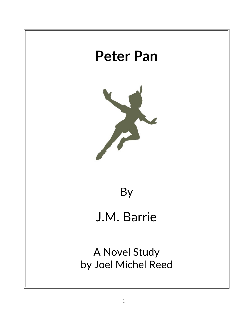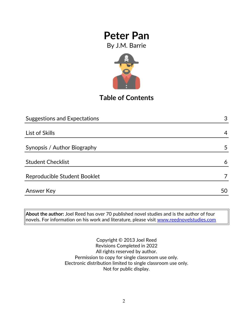By J.M. Barrie



## **Table of Contents**

| <b>Suggestions and Expectations</b> | 3  |
|-------------------------------------|----|
|                                     |    |
| List of Skills                      | 4  |
|                                     |    |
| Synopsis / Author Biography         | 5  |
|                                     |    |
| <b>Student Checklist</b>            | 6  |
| Reproducible Student Booklet        | 7  |
| <b>Answer Key</b>                   | 50 |
|                                     |    |

**About the author:** Joel Reed has over 70 published novel studies and is the author of four  $|$ novels. For information on his work and literature, please visit  $\overline{\text{www.reednovelstudies.com}}$ 

> Copyright © 2013 Joel Reed Revisions Completed in 2022 All rights reserved by author. Permission to copy for single classroom use only. Electronic distribution limited to single classroom use only. Not for public display.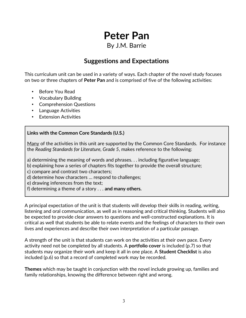### By J.M. Barrie

### **Suggestions and Expectations**

This curriculum unit can be used in a variety of ways. Each chapter of the novel study focuses on two or three chapters of **Peter Pan** and is comprised of five of the following activities:

- Before You Read
- Vocabulary Building
- Comprehension Questions
- Language Activities
- **Extension Activities**

### **Links with the Common Core Standards (U.S.)**

Many of the activities in this unit are supported by the Common Core Standards. For instance the *Reading Standards for Literature, Grade 5*, makes reference to the following:

a) determining the meaning of words and phrases. . . including figurative language;

b) explaining how a series of chapters fits together to provide the overall structure;

c) compare and contrast two characters;

d) determine how characters … respond to challenges;

e) drawing inferences from the text;

f) determining a theme of a story . . . **and many others.**

A principal expectation of the unit is that students will develop their skills in reading, writing, listening and oral communication, as well as in reasoning and critical thinking. Students will also be expected to provide clear answers to questions and well-constructed explanations. It is critical as well that students be able to relate events and the feelings of characters to their own lives and experiences and describe their own interpretation of a particular passage.

A strength of the unit is that students can work on the activities at their own pace. Every activity need not be completed by all students. A **portfolio cover** is included (p.7) so that students may organize their work and keep it all in one place. A **Student Checklist** is also included (p.6) so that a record of completed work may be recorded.

**Themes** which may be taught in conjunction with the novel include growing up, families and family relationships, knowing the difference between right and wrong.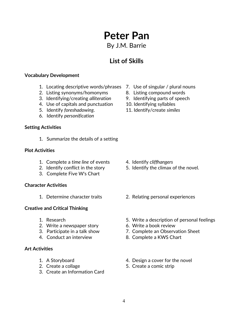1. Locating descriptive words/phrases 7. Use of singular / plural nouns

- 
- 5. Identify *foreshadowing*. 11. Identify/create *similes*

- 
- 2. Identify conflict in the story 5. Identify the climax of the novel.
- 1. Determine character traits 2. Relating personal experiences
- 1. Research 5. Write a description of personal feelings
	-
- 3. Participate in a talk show 7. Complete an Observation Sheet
- 4. Conduct an interview 8. Complete a KWS Chart
- 1. A Storyboard 4. Design a cover for the novel
- 2. Create a collage 5. Create a comic strip

### 2. Listing synonyms/homonyms 8. Listing compound words

**Vocabulary Development**

- 3. Identifying/creating *alliteration* 9. Identifying parts of speech
- 4. Use of capitals and punctuation 10. Identifying syllables
- 
- 6. Identify *personification*

#### **Setting Activities**

1. Summarize the details of a setting

#### **Plot Activities**

- 1. Complete a *time line* of events 4. Identify *cliffhangers*
- 
- 3. Complete Five W's Chart

#### **Character Activities**

#### **Creative and Critical Thinking**

- 
- 2. Write a newspaper story 6. Write a book review
- 
- 

#### **Art Activities**

- 
- 
- 3. Create an Information Card
- 
- 
- 

# **Peter Pan**

By J.M. Barrie

**List of Skills**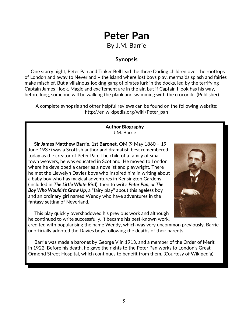# **Peter Pan** By J.M. Barrie

### **Synopsis**

 One starry night, Peter Pan and Tinker Bell lead the three Darling children over the rooftops of London and away to Neverland – the island where lost boys play, mermaids splash and fairies make mischief. But a villainous-looking gang of pirates lurk in the docks, led by the terrifying Captain James Hook. Magic and excitement are in the air, but if Captain Hook has his way, before long, someone will be walking the plank and swimming with the crocodile. (Publisher)

A complete synopsis and other helpful reviews can be found on the following website: http://en.wikipedia.org/wiki/Peter\_pan

#### **Author Biography** J.M. Barrie

 **Sir James Matthew Barrie, 1st Baronet**, OM (9 May 1860 – 19 June 1937) was a Scottish author and dramatist, best remembered today as the creator of Peter Pan. The child of a family of smalltown weavers, he was educated in Scotland. He moved to London, where he developed a career as a novelist and playwright. There he met the Llewelyn Davies boys who inspired him in writing about a baby boy who has magical adventures in Kensington Gardens (included in *[The Little White Bird](http://en.wikipedia.org/wiki/The_Little_White_Bird)*), then to write *[Peter Pan,](http://en.wikipedia.org/wiki/Peter_Pan,_or_The_Boy_Who_Wouldn) [or](http://en.wikipedia.org/wiki/Peter_Pan,_or_The_Boy_Who_Wouldn) [The](http://en.wikipedia.org/wiki/Peter_Pan,_or_The_Boy_Who_Wouldn)  [Boy Who Wouldn't Grow Up](http://en.wikipedia.org/wiki/Peter_Pan,_or_The_Boy_Who_Wouldn)*, a "fairy play" about this ageless boy and an ordinary girl named Wendy who have adventures in the fantasy setting of Neverland.

 This play quickly overshadowed his previous work and although he continued to write successfully, it became his best-known work,



credited with popularising the name Wendy, which was very uncommon previously. Barrie unofficially adopted the Davies boys following the deaths of their parents.

 Barrie was made a baronet by George V in 1913, and a member of the Order of Merit in 1922. Before his death, he gave the rights to the Peter Pan works to London's Great Ormond Street Hospital, which continues to benefit from them. (Courtesy of Wikipedia)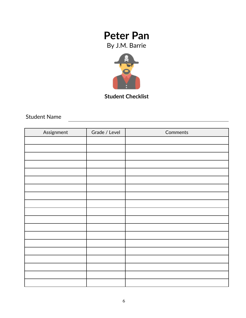By J.M. Barrie



**Student Checklist**

Student Name

| Assignment | Grade / Level | Comments |
|------------|---------------|----------|
|            |               |          |
|            |               |          |
|            |               |          |
|            |               |          |
|            |               |          |
|            |               |          |
|            |               |          |
|            |               |          |
|            |               |          |
|            |               |          |
|            |               |          |
|            |               |          |
|            |               |          |
|            |               |          |
|            |               |          |
|            |               |          |
|            |               |          |
|            |               |          |
|            |               |          |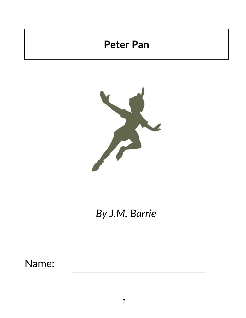

# *By J.M. Barrie*

Name: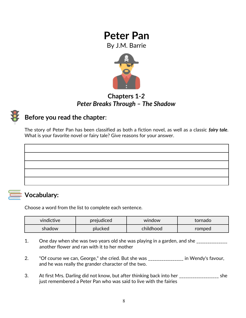By J.M. Barrie



### **Chapters 1***-2 Peter Breaks Through – The Shadow*

### **Before you read the chapter**:

The story of Peter Pan has been classified as both a fiction novel, as well as a classic *fairy tale*. What is your favorite novel or fairy tale? Give reasons for your answer.



### **Vocabulary:**

Choose a word from the list to complete each sentence.

| vindictive | prejudiced | window    | tornado |
|------------|------------|-----------|---------|
| shadow     | plucked    | childhood | romped  |

- 1. One day when she was two years old she was playing in a garden, and she \_\_\_\_\_\_\_\_\_\_\_\_ another flower and ran with it to her mother
- 2. "Of course we can, George," she cried. But she was \_\_\_\_\_\_\_\_\_\_\_\_\_\_\_\_ in Wendy's favour, and he was really the grander character of the two.
- 3. At first Mrs. Darling did not know, but after thinking back into her \_\_\_\_\_\_\_\_\_\_\_\_\_\_\_\_\_\_\_\_ she just remembered a Peter Pan who was said to live with the fairies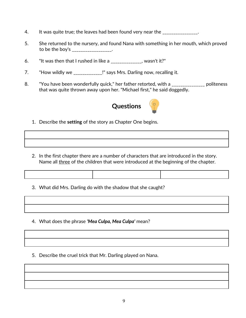- 4. It was quite true; the leaves had been found very near the \_\_\_\_\_\_\_\_\_\_\_\_\_\_\_.
- 5. She returned to the nursery, and found Nana with something in her mouth, which proved to be the boy's \_\_\_\_\_\_\_\_\_\_\_\_\_\_\_.
- 6. "It was then that I rushed in like a  $\frac{1}{2}$  =  $\frac{1}{2}$  =  $\frac{1}{2}$  wasn't it?"
- 7. "How wildly we \_\_\_\_\_\_\_\_\_\_\_\_\_!" says Mrs. Darling now, recalling it.
- 8. "You have been wonderfully quick," her father retorted, with a \_\_\_\_\_\_\_\_\_\_\_\_\_\_\_ politeness that was quite thrown away upon her. "Michael first," he said doggedly.



- 1. Describe the **setting** of the story as Chapter One begins.
- 2. In the first chapter there are a number of characters that are introduced in the story. Name all three of the children that were introduced at the beginning of the chapter.
- 3. What did Mrs. Darling do with the shadow that she caught?
- 4. What does the phrase *'Mea Culpa, Mea Culpa'* mean?
- 5. Describe the cruel trick that Mr. Darling played on Nana.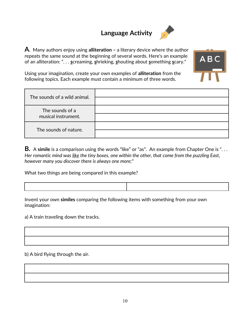# **Language Activity**



**A**. Many authors enjoy using **alliteration –** a literary device where the author repeats the same sound at the beginning of several words. Here's an example of an alliteration: ". . . **s**creaming, **s**hrieking, **s**houting about **s**omething **s**cary."



Using your imagination, create your own examples of **alliteration** from the following topics. Each example must contain a minimum of three words.

| The sounds of a wild animal.           |  |
|----------------------------------------|--|
| The sounds of a<br>musical instrument. |  |
| The sounds of nature.                  |  |

**B.** A **simile** is a comparison using the words "like" or "as". An example from Chapter One is ". . . *Her romantic mind was like the tiny boxes, one within the other, that come from the puzzling East, however many you discover there is always one more;*"

What two things are being compared in this example?

Invent your own **similes** comparing the following items with something from your own imagination:

a) A train traveling down the tracks.

b) A bird flying through the air.